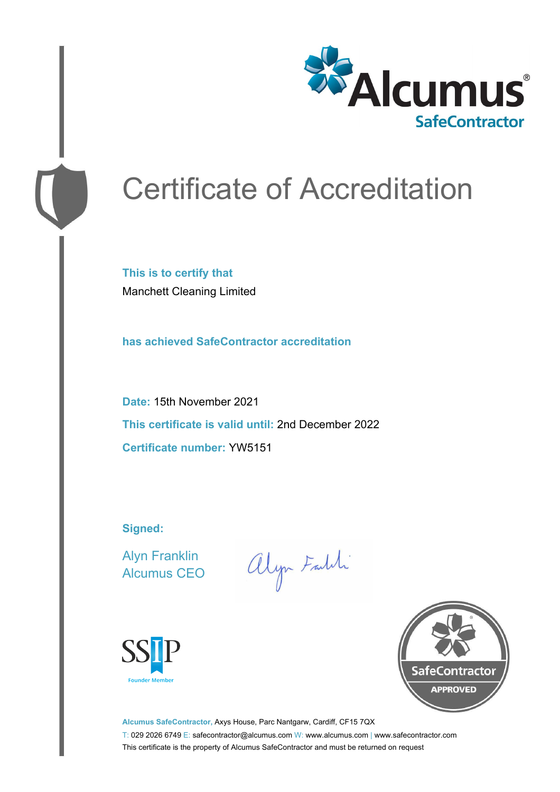

# Certificate of Accreditation

**This is to certify that** Manchett Cleaning Limited

**has achieved SafeContractor accreditation**

**Date:** 15th November 2021 **This certificate is valid until:** 2nd December 2022 **Certificate number:** YW5151

**Signed:**

Alyn Franklin Alcumus CEO

alyn Faith





**Alcumus SafeContractor,** Axys House, Parc Nantgarw, Cardiff, CF15 7QX T: 029 2026 6749 E: safecontractor@alcumus.com W: www.alcumus.com | www.safecontractor.com This certificate is the property of Alcumus SafeContractor and must be returned on request